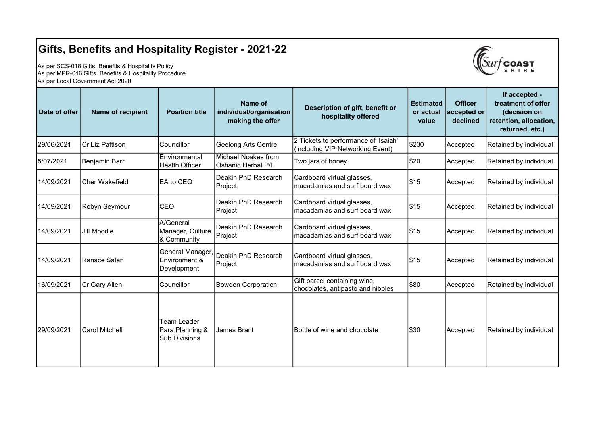## Gifts, Benefits and Hospitality Register - 2021-22

As per SCS-018 Gifts, Benefits & Hospitality Policy As per MPR-016 Gifts, Benefits & Hospitality Procedure As per Local Government Act 2020



| Date of offer | Name of recipient     | <b>Position title</b>                                  | Name of<br>individual/organisation<br>making the offer | Description of gift, benefit or<br>hospitality offered                   | <b>Estimated</b><br>or actual<br>value | <b>Officer</b><br>accepted or<br>declined | If accepted -<br>treatment of offer<br>(decision on<br>retention, allocation,<br>returned, etc.) |
|---------------|-----------------------|--------------------------------------------------------|--------------------------------------------------------|--------------------------------------------------------------------------|----------------------------------------|-------------------------------------------|--------------------------------------------------------------------------------------------------|
| 29/06/2021    | Cr Liz Pattison       | Councillor                                             | <b>Geelong Arts Centre</b>                             | 2 Tickets to performance of 'Isaiah'<br>(including VIP Networking Event) | \$230                                  | Accepted                                  | Retained by individual                                                                           |
| 5/07/2021     | Benjamin Barr         | Environmental<br><b>Health Officer</b>                 | Michael Noakes from<br>Oshanic Herbal P/L              | Two jars of honey                                                        | \$20                                   | Accepted                                  | Retained by individual                                                                           |
| 14/09/2021    | <b>Cher Wakefield</b> | EA to CEO                                              | Deakin PhD Research<br>Project                         | Cardboard virtual glasses,<br>macadamias and surf board wax              | \$15                                   | Accepted                                  | Retained by individual                                                                           |
| 14/09/2021    | Robyn Seymour         | CEO                                                    | Deakin PhD Research<br>Project                         | Cardboard virtual glasses,<br>Imacadamias and surf board wax             | \$15                                   | Accepted                                  | Retained by individual                                                                           |
| 14/09/2021    | <b>Jill Moodie</b>    | A/General<br>Manager, Culture<br>& Community           | Deakin PhD Research<br>Project                         | Cardboard virtual glasses,<br>macadamias and surf board wax              | \$15                                   | Accepted                                  | Retained by individual                                                                           |
| 14/09/2021    | Ransce Salan          | <b>General Manager</b><br>Environment &<br>Development | Deakin PhD Research<br>Project                         | Cardboard virtual glasses,<br>macadamias and surf board wax              | \$15                                   | Accepted                                  | Retained by individual                                                                           |
| 16/09/2021    | Cr Gary Allen         | Councillor                                             | <b>Bowden Corporation</b>                              | Gift parcel containing wine,<br>chocolates, antipasto and nibbles        | \$80                                   | Accepted                                  | Retained by individual                                                                           |
| 29/09/2021    | Carol Mitchell        | Team Leader<br>Para Planning &<br><b>Sub Divisions</b> | James Brant                                            | Bottle of wine and chocolate                                             | \$30                                   | Accepted                                  | Retained by individual                                                                           |